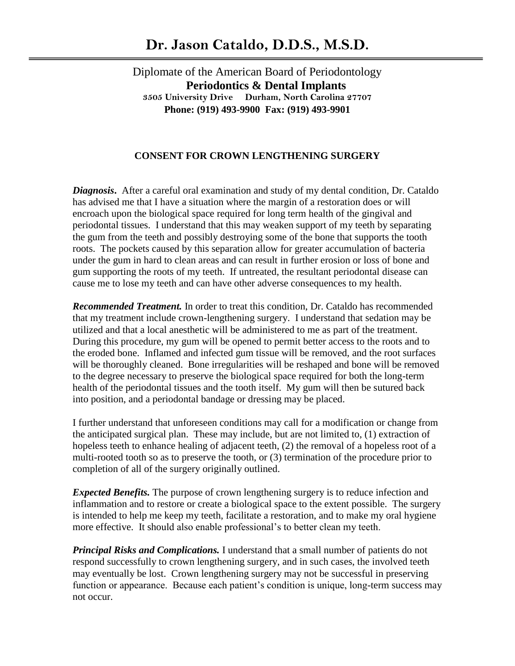Diplomate of the American Board of Periodontology  **Periodontics & Dental Implants 3505 University Drive Durham, North Carolina 27707 Phone: (919) 493-9900 Fax: (919) 493-9901**

## **CONSENT FOR CROWN LENGTHENING SURGERY**

*Diagnosis***.** After a careful oral examination and study of my dental condition, Dr. Cataldo has advised me that I have a situation where the margin of a restoration does or will encroach upon the biological space required for long term health of the gingival and periodontal tissues. I understand that this may weaken support of my teeth by separating the gum from the teeth and possibly destroying some of the bone that supports the tooth roots. The pockets caused by this separation allow for greater accumulation of bacteria under the gum in hard to clean areas and can result in further erosion or loss of bone and gum supporting the roots of my teeth. If untreated, the resultant periodontal disease can cause me to lose my teeth and can have other adverse consequences to my health.

*Recommended Treatment.* In order to treat this condition, Dr. Cataldo has recommended that my treatment include crown-lengthening surgery. I understand that sedation may be utilized and that a local anesthetic will be administered to me as part of the treatment. During this procedure, my gum will be opened to permit better access to the roots and to the eroded bone. Inflamed and infected gum tissue will be removed, and the root surfaces will be thoroughly cleaned. Bone irregularities will be reshaped and bone will be removed to the degree necessary to preserve the biological space required for both the long-term health of the periodontal tissues and the tooth itself. My gum will then be sutured back into position, and a periodontal bandage or dressing may be placed.

I further understand that unforeseen conditions may call for a modification or change from the anticipated surgical plan. These may include, but are not limited to, (1) extraction of hopeless teeth to enhance healing of adjacent teeth, (2) the removal of a hopeless root of a multi-rooted tooth so as to preserve the tooth, or (3) termination of the procedure prior to completion of all of the surgery originally outlined.

*Expected Benefits*. The purpose of crown lengthening surgery is to reduce infection and inflammation and to restore or create a biological space to the extent possible. The surgery is intended to help me keep my teeth, facilitate a restoration, and to make my oral hygiene more effective. It should also enable professional's to better clean my teeth.

*Principal Risks and Complications.* I understand that a small number of patients do not respond successfully to crown lengthening surgery, and in such cases, the involved teeth may eventually be lost. Crown lengthening surgery may not be successful in preserving function or appearance. Because each patient's condition is unique, long-term success may not occur.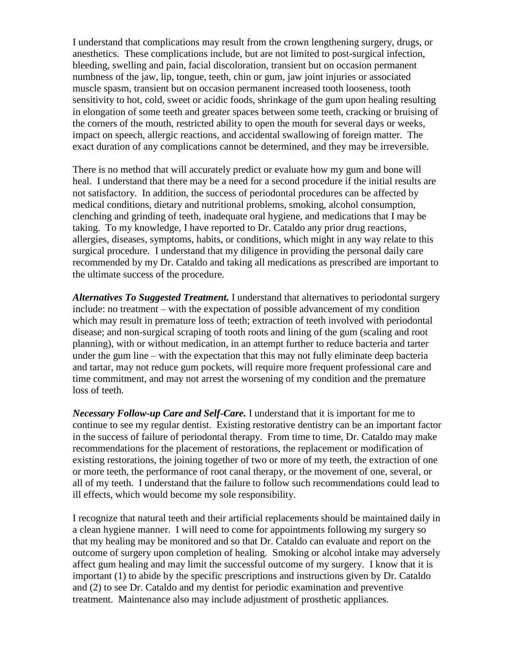I understand that complications may result from the crown lengthening surgery, drugs, or anesthetics. These complications include, but are not limited to post-surgical infection, bleeding, swelling and pain, facial discoloration, transient but on occasion permanent numbness of the jaw, lip, tongue, teeth, chin or gum, jaw joint injuries or associated muscle spasm, transient but on occasion permanent increased tooth looseness, tooth sensitivity to hot, cold, sweet or acidic foods, shrinkage of the gum upon healing resulting in elongation of some teeth and greater spaces between some teeth, cracking or bruising of the corners of the mouth, restricted ability to open the mouth for several days or weeks, impact on speech, allergic reactions, and accidental swallowing of foreign matter. The exact duration of any complications cannot be determined, and they may be irreversible.

There is no method that will accurately predict or evaluate how my gum and bone will heal. I understand that there may be a need for a second procedure if the initial results are not satisfactory. In addition, the success of periodontal procedures can be affected by medical conditions, dietary and nutritional problems, smoking, alcohol consumption, clenching and grinding of teeth, inadequate oral hygiene, and medications that I may be taking. To my knowledge, I have reported to Dr. Cataldo any prior drug reactions, allergies, diseases, symptoms, habits, or conditions, which might in any way relate to this surgical procedure. I understand that my diligence in providing the personal daily care recommended by my Dr. Cataldo and taking all medications as prescribed are important to the ultimate success of the procedure.

*Alternatives To Suggested Treatment.* I understand that alternatives to periodontal surgery include: no treatment – with the expectation of possible advancement of my condition which may result in premature loss of teeth; extraction of teeth involved with periodontal disease; and non-surgical scraping of tooth roots and lining of the gum (scaling and root planning), with or without medication, in an attempt further to reduce bacteria and tarter under the gum line – with the expectation that this may not fully eliminate deep bacteria and tartar, may not reduce gum pockets, will require more frequent professional care and time commitment, and may not arrest the worsening of my condition and the premature loss of teeth.

*Necessary Follow-up Care and Self-Care.* I understand that it is important for me to continue to see my regular dentist. Existing restorative dentistry can be an important factor in the success of failure of periodontal therapy. From time to time, Dr. Cataldo may make recommendations for the placement of restorations, the replacement or modification of existing restorations, the joining together of two or more of my teeth, the extraction of one or more teeth, the performance of root canal therapy, or the movement of one, several, or all of my teeth. I understand that the failure to follow such recommendations could lead to ill effects, which would become my sole responsibility.

I recognize that natural teeth and their artificial replacements should be maintained daily in a clean hygiene manner. I will need to come for appointments following my surgery so that my healing may be monitored and so that Dr. Cataldo can evaluate and report on the outcome of surgery upon completion of healing. Smoking or alcohol intake may adversely affect gum healing and may limit the successful outcome of my surgery. I know that it is important (1) to abide by the specific prescriptions and instructions given by Dr. Cataldo and (2) to see Dr. Cataldo and my dentist for periodic examination and preventive treatment. Maintenance also may include adjustment of prosthetic appliances.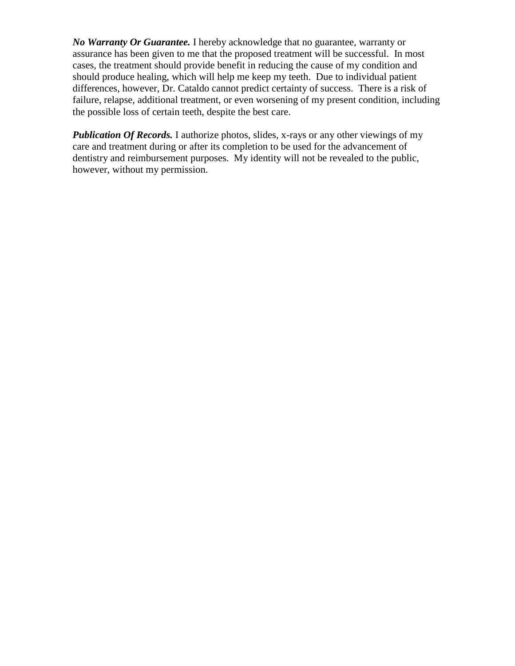*No Warranty Or Guarantee.* I hereby acknowledge that no guarantee, warranty or assurance has been given to me that the proposed treatment will be successful. In most cases, the treatment should provide benefit in reducing the cause of my condition and should produce healing, which will help me keep my teeth. Due to individual patient differences, however, Dr. Cataldo cannot predict certainty of success. There is a risk of failure, relapse, additional treatment, or even worsening of my present condition, including the possible loss of certain teeth, despite the best care.

*Publication Of Records.* I authorize photos, slides, x-rays or any other viewings of my care and treatment during or after its completion to be used for the advancement of dentistry and reimbursement purposes. My identity will not be revealed to the public, however, without my permission.